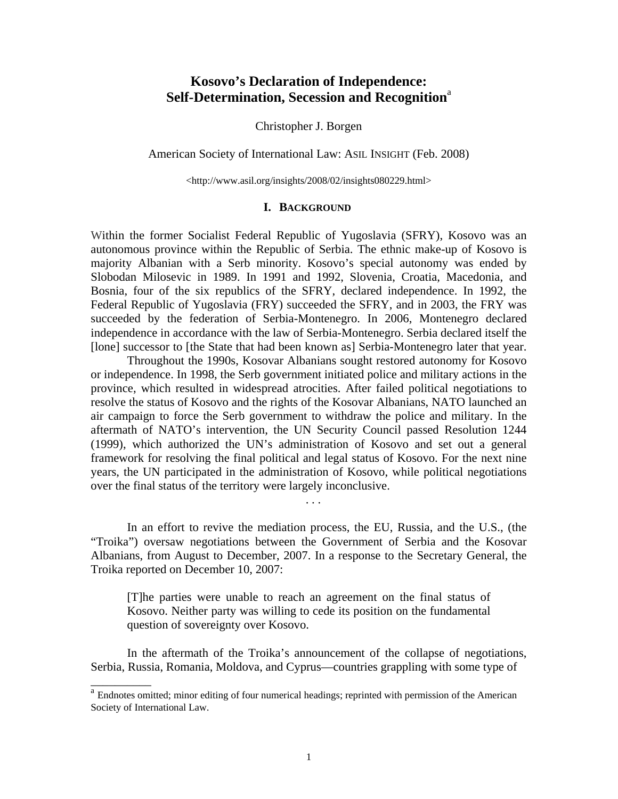# **Kosovo's Declaration of Independence: Self-Determination, Secession and Recognition**<sup>a</sup>

Christopher J. Borgen

American Society of International Law: ASIL INSIGHT (Feb. 2008)

<http://www.asil.org/insights/2008/02/insights080229.html>

# **I.**B**BACKGROUND**

Within the former Socialist Federal Republic of Yugoslavia (SFRY), Kosovo was an autonomous province within the Republic of Serbia. The ethnic make-up of Kosovo is majority Albanian with a Serb minority. Kosovo's special autonomy was ended by Slobodan Milosevic in 1989. In 1991 and 1992, Slovenia, Croatia, Macedonia, and Bosnia, four of the six republics of the SFRY, declared independence. In 1992, the Federal Republic of Yugoslavia (FRY) succeeded the SFRY, and in 2003, the FRY was succeeded by the federation of Serbia-Montenegro. In 2006, Montenegro declared independence in accordance with the law of Serbia-Montenegro. Serbia declared itself the [lone] successor to [the State that had been known as] Serbia-Montenegro later that year.

 Throughout the 1990s, Kosovar Albanians sought restored autonomy for Kosovo or independence. In 1998, the Serb government initiated police and military actions in the province, which resulted in widespread atrocities. After failed political negotiations to resolve the status of Kosovo and the rights of the Kosovar Albanians, NATO launched an air campaign to force the Serb government to withdraw the police and military. In the aftermath of NATO's intervention, the UN Security Council passed Resolution 1244 (1999), which authorized the UN's administration of Kosovo and set out a general framework for resolving the final political and legal status of Kosovo. For the next nine years, the UN participated in the administration of Kosovo, while political negotiations over the final status of the territory were largely inconclusive.

 In an effort to revive the mediation process, the EU, Russia, and the U.S., (the "Troika") oversaw negotiations between the Government of Serbia and the Kosovar Albanians, from August to December, 2007. In a response to the Secretary General, the Troika reported on December 10, 2007:

. . .

\_\_\_\_\_\_\_\_\_\_

[T]he parties were unable to reach an agreement on the final status of Kosovo. Neither party was willing to cede its position on the fundamental question of sovereignty over Kosovo.

 In the aftermath of the Troika's announcement of the collapse of negotiations, Serbia, Russia, Romania, Moldova, and Cyprus—countries grappling with some type of

<sup>&</sup>lt;sup>a</sup> Endnotes omitted; minor editing of four numerical headings; reprinted with permission of the American Society of International Law.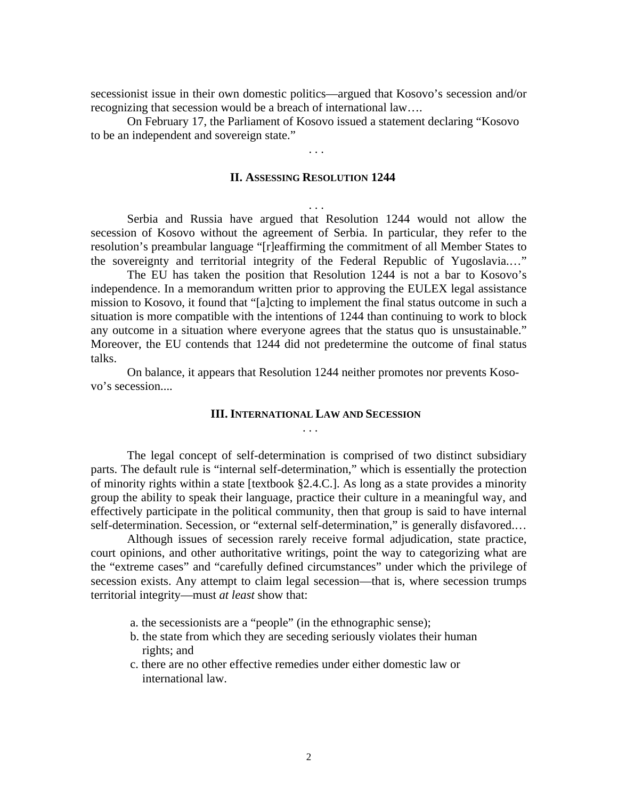secessionist issue in their own domestic politics—argued that Kosovo's secession and/or recognizing that secession would be a breach of international law….

 On February 17, the Parliament of Kosovo issued a statement declaring "Kosovo to be an independent and sovereign state."

. . .

. . .

. . .

### **II. ASSESSING RESOLUTION 1244**

 Serbia and Russia have argued that Resolution 1244 would not allow the secession of Kosovo without the agreement of Serbia. In particular, they refer to the resolution's preambular language "[r]eaffirming the commitment of all Member States to the sovereignty and territorial integrity of the Federal Republic of Yugoslavia.…"

 The EU has taken the position that Resolution 1244 is not a bar to Kosovo's independence. In a memorandum written prior to approving the EULEX legal assistance mission to Kosovo, it found that "[a]cting to implement the final status outcome in such a situation is more compatible with the intentions of 1244 than continuing to work to block any outcome in a situation where everyone agrees that the status quo is unsustainable." Moreover, the EU contends that 1244 did not predetermine the outcome of final status talks.

 On balance, it appears that Resolution 1244 neither promotes nor prevents Kosovo's secession....

## **III. INTERNATIONAL LAW AND SECESSION**

 The legal concept of self-determination is comprised of two distinct subsidiary parts. The default rule is "internal self-determination," which is essentially the protection of minority rights within a state [textbook §2.4.C.]. As long as a state provides a minority group the ability to speak their language, practice their culture in a meaningful way, and effectively participate in the political community, then that group is said to have internal self-determination. Secession, or "external self-determination," is generally disfavored.…

 Although issues of secession rarely receive formal adjudication, state practice, court opinions, and other authoritative writings, point the way to categorizing what are the "extreme cases" and "carefully defined circumstances" under which the privilege of secession exists. Any attempt to claim legal secession—that is, where secession trumps territorial integrity—must *at least* show that:

- a. the secessionists are a "people" (in the ethnographic sense);
- b. the state from which they are seceding seriously violates their human rights; and
- c. there are no other effective remedies under either domestic law or international law.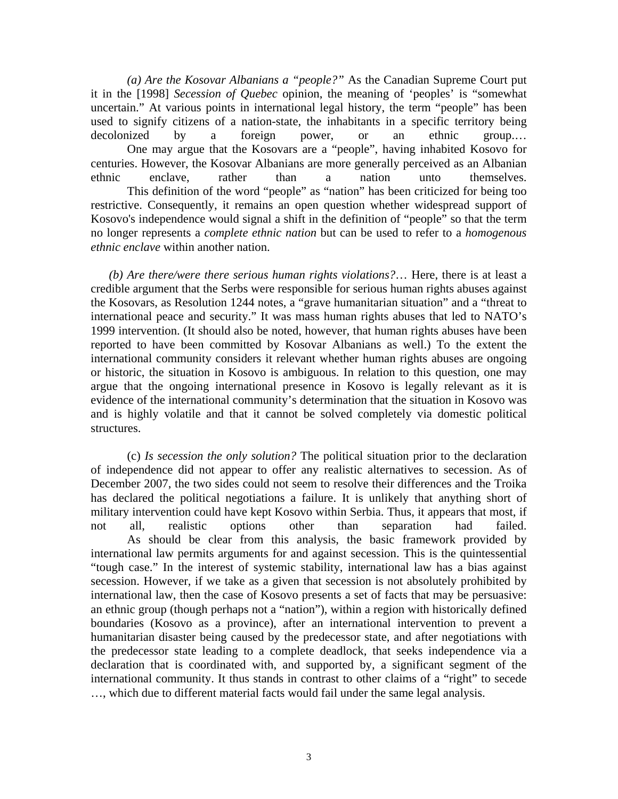*(a) Are the Kosovar Albanians a "people?"* As the Canadian Supreme Court put it in the [1998] *Secession of Quebec* opinion, the meaning of 'peoples' is "somewhat uncertain." At various points in international legal history, the term "people" has been used to signify citizens of a nation-state, the inhabitants in a specific territory being decolonized by a foreign power, or an ethnic group.… One may argue that the Kosovars are a "people", having inhabited Kosovo for centuries. However, the Kosovar Albanians are more generally perceived as an Albanian ethnic enclave, rather than a nation unto themselves. This definition of the word "people" as "nation" has been criticized for being too restrictive. Consequently, it remains an open question whether widespread support of Kosovo's independence would signal a shift in the definition of "people" so that the term no longer represents a *complete ethnic nation* but can be used to refer to a *homogenous ethnic enclave* within another nation.

*(b) Are there/were there serious human rights violations?*… Here, there is at least a credible argument that the Serbs were responsible for serious human rights abuses against the Kosovars, as Resolution 1244 notes, a "grave humanitarian situation" and a "threat to international peace and security." It was mass human rights abuses that led to NATO's 1999 intervention. (It should also be noted, however, that human rights abuses have been reported to have been committed by Kosovar Albanians as well.) To the extent the international community considers it relevant whether human rights abuses are ongoing or historic, the situation in Kosovo is ambiguous. In relation to this question, one may argue that the ongoing international presence in Kosovo is legally relevant as it is evidence of the international community's determination that the situation in Kosovo was and is highly volatile and that it cannot be solved completely via domestic political structures.

 (c) *Is secession the only solution?* The political situation prior to the declaration of independence did not appear to offer any realistic alternatives to secession. As of December 2007, the two sides could not seem to resolve their differences and the Troika has declared the political negotiations a failure. It is unlikely that anything short of military intervention could have kept Kosovo within Serbia. Thus, it appears that most, if not all, realistic options other than separation had failed. As should be clear from this analysis, the basic framework provided by international law permits arguments for and against secession. This is the quintessential "tough case." In the interest of systemic stability, international law has a bias against secession. However, if we take as a given that secession is not absolutely prohibited by international law, then the case of Kosovo presents a set of facts that may be persuasive: an ethnic group (though perhaps not a "nation"), within a region with historically defined boundaries (Kosovo as a province), after an international intervention to prevent a humanitarian disaster being caused by the predecessor state, and after negotiations with the predecessor state leading to a complete deadlock, that seeks independence via a declaration that is coordinated with, and supported by, a significant segment of the international community. It thus stands in contrast to other claims of a "right" to secede …, which due to different material facts would fail under the same legal analysis.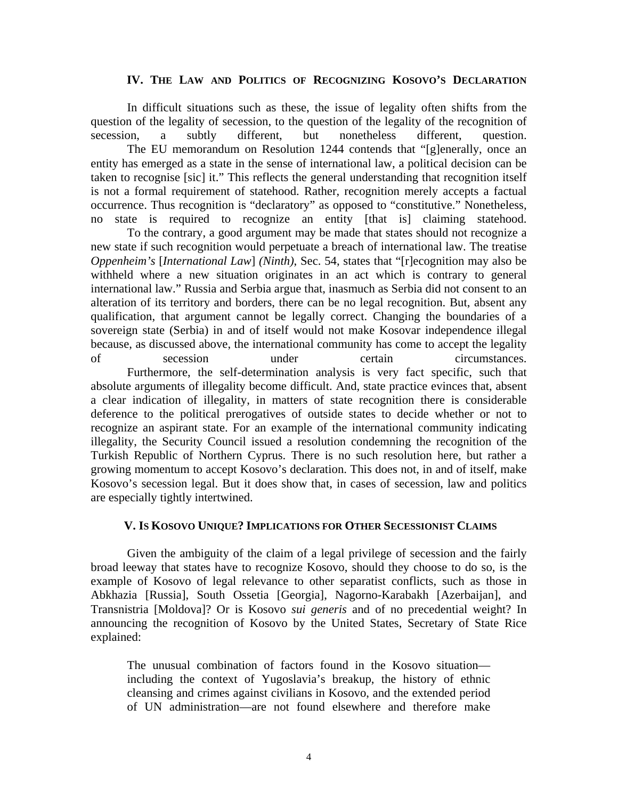#### **IV. THE LAW AND POLITICS OF RECOGNIZING KOSOVO'S DECLARATION**

 In difficult situations such as these, the issue of legality often shifts from the question of the legality of secession, to the question of the legality of the recognition of secession. a subtly different, but nonetheless different, question. secession, a subtly different, but nonetheless different, question. The EU memorandum on Resolution 1244 contends that "[g]enerally, once an entity has emerged as a state in the sense of international law, a political decision can be taken to recognise [sic] it." This reflects the general understanding that recognition itself is not a formal requirement of statehood. Rather, recognition merely accepts a factual occurrence. Thus recognition is "declaratory" as opposed to "constitutive." Nonetheless, no state is required to recognize an entity [that is] claiming statehood.

 To the contrary, a good argument may be made that states should not recognize a new state if such recognition would perpetuate a breach of international law. The treatise *Oppenheim's* [*International Law*] *(Ninth)*, Sec. 54, states that "[r]ecognition may also be withheld where a new situation originates in an act which is contrary to general international law." Russia and Serbia argue that, inasmuch as Serbia did not consent to an alteration of its territory and borders, there can be no legal recognition. But, absent any qualification, that argument cannot be legally correct. Changing the boundaries of a sovereign state (Serbia) in and of itself would not make Kosovar independence illegal because, as discussed above, the international community has come to accept the legality of secession under certain circumstances. Furthermore, the self-determination analysis is very fact specific, such that absolute arguments of illegality become difficult. And, state practice evinces that, absent a clear indication of illegality, in matters of state recognition there is considerable deference to the political prerogatives of outside states to decide whether or not to recognize an aspirant state. For an example of the international community indicating illegality, the Security Council issued a resolution condemning the recognition of the Turkish Republic of Northern Cyprus. There is no such resolution here, but rather a growing momentum to accept Kosovo's declaration. This does not, in and of itself, make Kosovo's secession legal. But it does show that, in cases of secession, law and politics are especially tightly intertwined.

#### **V. IS KOSOVO UNIQUE? IMPLICATIONS FOR OTHER SECESSIONIST CLAIMS**

 Given the ambiguity of the claim of a legal privilege of secession and the fairly broad leeway that states have to recognize Kosovo, should they choose to do so, is the example of Kosovo of legal relevance to other separatist conflicts, such as those in Abkhazia [Russia], South Ossetia [Georgia], Nagorno-Karabakh [Azerbaijan], and Transnistria [Moldova]? Or is Kosovo *sui generis* and of no precedential weight? In announcing the recognition of Kosovo by the United States, Secretary of State Rice explained:

The unusual combination of factors found in the Kosovo situation including the context of Yugoslavia's breakup, the history of ethnic cleansing and crimes against civilians in Kosovo, and the extended period of UN administration—are not found elsewhere and therefore make